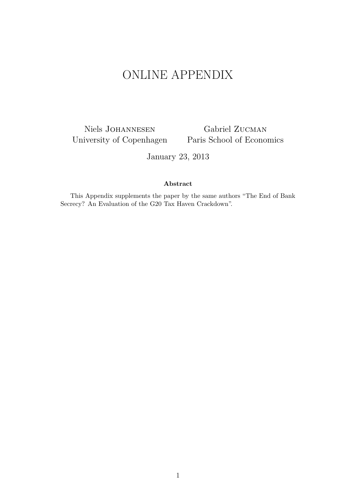# ONLINE APPENDIX

Niels Johannesen University of Copenhagen Paris School of Economics

Gabriel Zucman

January 23, 2013

#### **Abstract**

This Appendix supplements the paper by the same authors "The End of Bank Secrecy? An Evaluation of the G20 Tax Haven Crackdown".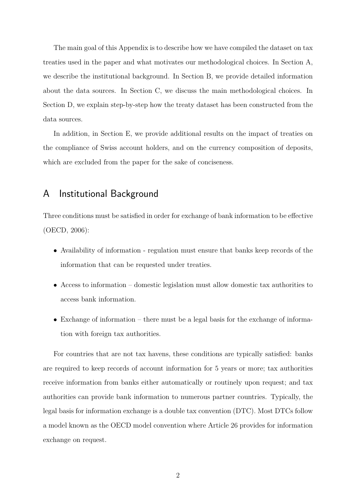The main goal of this Appendix is to describe how we have compiled the dataset on tax treaties used in the paper and what motivates our methodological choices. In Section A, we describe the institutional background. In Section B, we provide detailed information about the data sources. In Section C, we discuss the main methodological choices. In Section D, we explain step-by-step how the treaty dataset has been constructed from the data sources.

In addition, in Section E, we provide additional results on the impact of treaties on the compliance of Swiss account holders, and on the currency composition of deposits, which are excluded from the paper for the sake of conciseness.

## A Institutional Background

Three conditions must be satisfied in order for exchange of bank information to be effective [\(OECD,](#page-11-0) [2006\)](#page-11-0):

- Availability of information regulation must ensure that banks keep records of the information that can be requested under treaties.
- Access to information domestic legislation must allow domestic tax authorities to access bank information.
- Exchange of information there must be a legal basis for the exchange of information with foreign tax authorities.

For countries that are not tax havens, these conditions are typically satisfied: banks are required to keep records of account information for 5 years or more; tax authorities receive information from banks either automatically or routinely upon request; and tax authorities can provide bank information to numerous partner countries. Typically, the legal basis for information exchange is a double tax convention (DTC). Most DTCs follow a model known as the OECD model convention where Article 26 provides for information exchange on request.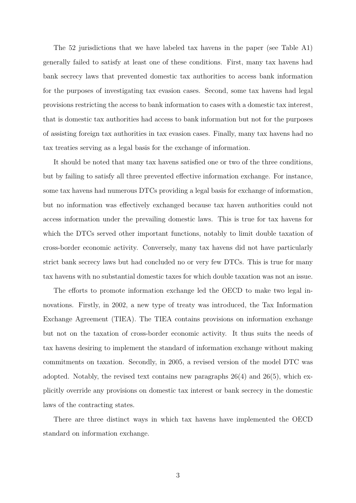The 52 jurisdictions that we have labeled tax havens in the paper (see Table A1) generally failed to satisfy at least one of these conditions. First, many tax havens had bank secrecy laws that prevented domestic tax authorities to access bank information for the purposes of investigating tax evasion cases. Second, some tax havens had legal provisions restricting the access to bank information to cases with a domestic tax interest, that is domestic tax authorities had access to bank information but not for the purposes of assisting foreign tax authorities in tax evasion cases. Finally, many tax havens had no tax treaties serving as a legal basis for the exchange of information.

It should be noted that many tax havens satisfied one or two of the three conditions, but by failing to satisfy all three prevented effective information exchange. For instance, some tax havens had numerous DTCs providing a legal basis for exchange of information, but no information was effectively exchanged because tax haven authorities could not access information under the prevailing domestic laws. This is true for tax havens for which the DTCs served other important functions, notably to limit double taxation of cross-border economic activity. Conversely, many tax havens did not have particularly strict bank secrecy laws but had concluded no or very few DTCs. This is true for many tax havens with no substantial domestic taxes for which double taxation was not an issue.

The efforts to promote information exchange led the OECD to make two legal innovations. Firstly, in 2002, a new type of treaty was introduced, the Tax Information Exchange Agreement (TIEA). The TIEA contains provisions on information exchange but not on the taxation of cross-border economic activity. It thus suits the needs of tax havens desiring to implement the standard of information exchange without making commitments on taxation. Secondly, in 2005, a revised version of the model DTC was adopted. Notably, the revised text contains new paragraphs 26(4) and 26(5), which explicitly override any provisions on domestic tax interest or bank secrecy in the domestic laws of the contracting states.

There are three distinct ways in which tax havens have implemented the OECD standard on information exchange.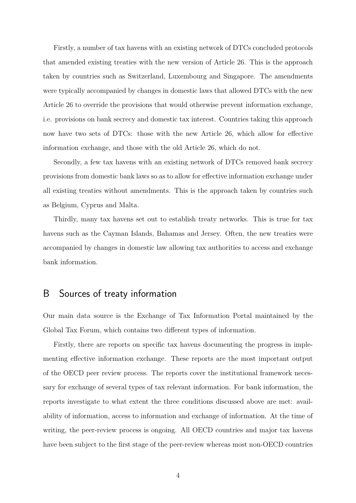Firstly, a number of tax havens with an existing network of DTCs concluded protocols that amended existing treaties with the new version of Article 26. This is the approach taken by countries such as Switzerland, Luxembourg and Singapore. The amendments were typically accompanied by changes in domestic laws that allowed DTCs with the new Article 26 to override the provisions that would otherwise prevent information exchange, i.e. provisions on bank secrecy and domestic tax interest. Countries taking this approach now have two sets of DTCs: those with the new Article 26, which allow for effective information exchange, and those with the old Article 26, which do not.

Secondly, a few tax havens with an existing network of DTCs removed bank secrecy provisions from domestic bank laws so as to allow for effective information exchange under all existing treaties without amendments. This is the approach taken by countries such as Belgium, Cyprus and Malta.

Thirdly, many tax havens set out to establish treaty networks. This is true for tax havens such as the Cayman Islands, Bahamas and Jersey. Often, the new treaties were accompanied by changes in domestic law allowing tax authorities to access and exchange bank information.

## B Sources of treaty information

Our main data source is the Exchange of Tax Information Portal maintained by the Global Tax Forum, which contains two different types of information.

Firstly, there are reports on specific tax havens documenting the progress in implementing effective information exchange. These reports are the most important output of the OECD peer review process. The reports cover the institutional framework necessary for exchange of several types of tax relevant information. For bank information, the reports investigate to what extent the three conditions discussed above are met: availability of information, access to information and exchange of information. At the time of writing, the peer-review process is ongoing. All OECD countries and major tax havens have been subject to the first stage of the peer-review whereas most non-OECD countries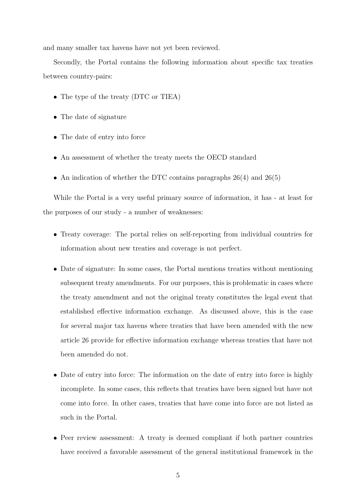and many smaller tax havens have not yet been reviewed.

Secondly, the Portal contains the following information about specific tax treaties between country-pairs:

- The type of the treaty (DTC or TIEA)
- The date of signature
- The date of entry into force
- An assessment of whether the treaty meets the OECD standard
- An indication of whether the DTC contains paragraphs 26(4) and 26(5)

While the Portal is a very useful primary source of information, it has - at least for the purposes of our study - a number of weaknesses:

- Treaty coverage: The portal relies on self-reporting from individual countries for information about new treaties and coverage is not perfect.
- Date of signature: In some cases, the Portal mentions treaties without mentioning subsequent treaty amendments. For our purposes, this is problematic in cases where the treaty amendment and not the original treaty constitutes the legal event that established effective information exchange. As discussed above, this is the case for several major tax havens where treaties that have been amended with the new article 26 provide for effective information exchange whereas treaties that have not been amended do not.
- Date of entry into force: The information on the date of entry into force is highly incomplete. In some cases, this reflects that treaties have been signed but have not come into force. In other cases, treaties that have come into force are not listed as such in the Portal.
- Peer review assessment: A treaty is deemed compliant if both partner countries have received a favorable assessment of the general institutional framework in the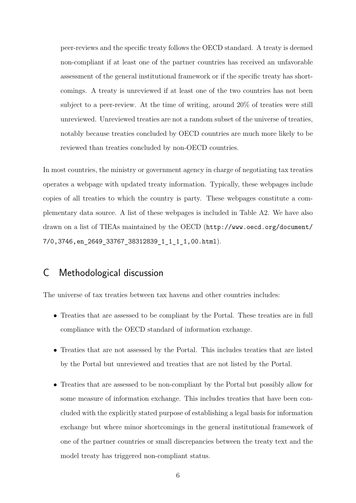peer-reviews and the specific treaty follows the OECD standard. A treaty is deemed non-compliant if at least one of the partner countries has received an unfavorable assessment of the general institutional framework or if the specific treaty has shortcomings. A treaty is unreviewed if at least one of the two countries has not been subject to a peer-review. At the time of writing, around 20% of treaties were still unreviewed. Unreviewed treaties are not a random subset of the universe of treaties, notably because treaties concluded by OECD countries are much more likely to be reviewed than treaties concluded by non-OECD countries.

In most countries, the ministry or government agency in charge of negotiating tax treaties operates a webpage with updated treaty information. Typically, these webpages include copies of all treaties to which the country is party. These webpages constitute a complementary data source. A list of these webpages is included in Table A2. We have also drawn on a list of TIEAs maintained by the OECD ([http://www.oecd.org/document/](http://www.oecd.org/document/7/0,3746,en_2649_33767_38312839_1_1_1_1,00.html) [7/0,3746,en\\_2649\\_33767\\_38312839\\_1\\_1\\_1\\_1,00.html](http://www.oecd.org/document/7/0,3746,en_2649_33767_38312839_1_1_1_1,00.html)).

## C Methodological discussion

The universe of tax treaties between tax havens and other countries includes:

- Treaties that are assessed to be compliant by the Portal. These treaties are in full compliance with the OECD standard of information exchange.
- Treaties that are not assessed by the Portal. This includes treaties that are listed by the Portal but unreviewed and treaties that are not listed by the Portal.
- Treaties that are assessed to be non-compliant by the Portal but possibly allow for some measure of information exchange. This includes treaties that have been concluded with the explicitly stated purpose of establishing a legal basis for information exchange but where minor shortcomings in the general institutional framework of one of the partner countries or small discrepancies between the treaty text and the model treaty has triggered non-compliant status.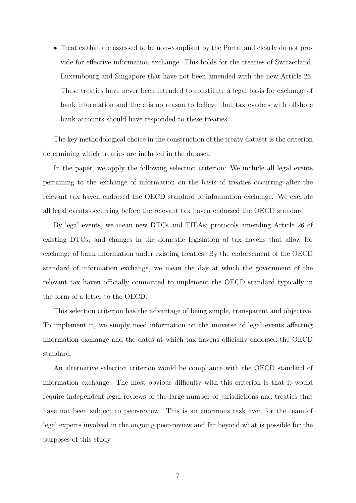• Treaties that are assessed to be non-compliant by the Portal and clearly do not provide for effective information exchange. This holds for the treaties of Switzerland, Luxembourg and Singapore that have not been amended with the new Article 26. These treaties have never been intended to constitute a legal basis for exchange of bank information and there is no reason to believe that tax evaders with offshore bank accounts should have responded to these treaties.

The key methodological choice in the construction of the treaty dataset is the criterion determining which treaties are included in the dataset.

In the paper, we apply the following selection criterion: We include all legal events pertaining to the exchange of information on the basis of treaties occurring after the relevant tax haven endorsed the OECD standard of information exchange. We exclude all legal events occurring before the relevant tax haven endorsed the OECD standard.

By legal events, we mean new DTCs and TIEAs; protocols amending Article 26 of existing DTCs; and changes in the domestic legislation of tax havens that allow for exchange of bank information under existing treaties. By the endorsement of the OECD standard of information exchange, we mean the day at which the government of the relevant tax haven officially committed to implement the OECD standard typically in the form of a letter to the OECD.

This selection criterion has the advantage of being simple, transparent and objective. To implement it, we simply need information on the universe of legal events affecting information exchange and the dates at which tax havens officially endorsed the OECD standard.

An alternative selection criterion would be compliance with the OECD standard of information exchange. The most obvious difficulty with this criterion is that it would require independent legal reviews of the large number of jurisdictions and treaties that have not been subject to peer-review. This is an enormous task even for the team of legal experts involved in the ongoing peer-review and far beyond what is possible for the purposes of this study.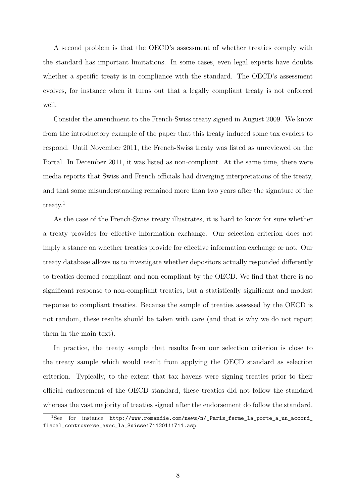A second problem is that the OECD's assessment of whether treaties comply with the standard has important limitations. In some cases, even legal experts have doubts whether a specific treaty is in compliance with the standard. The OECD's assessment evolves, for instance when it turns out that a legally compliant treaty is not enforced well.

Consider the amendment to the French-Swiss treaty signed in August 2009. We know from the introductory example of the paper that this treaty induced some tax evaders to respond. Until November 2011, the French-Swiss treaty was listed as unreviewed on the Portal. In December 2011, it was listed as non-compliant. At the same time, there were media reports that Swiss and French officials had diverging interpretations of the treaty, and that some misunderstanding remained more than two years after the signature of the treaty.<sup>[1](#page-7-0)</sup>

As the case of the French-Swiss treaty illustrates, it is hard to know for sure whether a treaty provides for effective information exchange. Our selection criterion does not imply a stance on whether treaties provide for effective information exchange or not. Our treaty database allows us to investigate whether depositors actually responded differently to treaties deemed compliant and non-compliant by the OECD. We find that there is no significant response to non-compliant treaties, but a statistically significant and modest response to compliant treaties. Because the sample of treaties assessed by the OECD is not random, these results should be taken with care (and that is why we do not report them in the main text).

In practice, the treaty sample that results from our selection criterion is close to the treaty sample which would result from applying the OECD standard as selection criterion. Typically, to the extent that tax havens were signing treaties prior to their official endorsement of the OECD standard, these treaties did not follow the standard whereas the vast majority of treaties signed after the endorsement do follow the standard.

<span id="page-7-0"></span><sup>1</sup>See for instance [http://www.romandie.com/news/n/\\_Paris\\_ferme\\_la\\_porte\\_a\\_un\\_accord\\_](http://www.romandie.com/news/n/_Paris_ferme_la_porte_a_un_accord_fiscal_controverse_avec_la_Suisse171120111711.asp) [fiscal\\_controverse\\_avec\\_la\\_Suisse171120111711.asp](http://www.romandie.com/news/n/_Paris_ferme_la_porte_a_un_accord_fiscal_controverse_avec_la_Suisse171120111711.asp).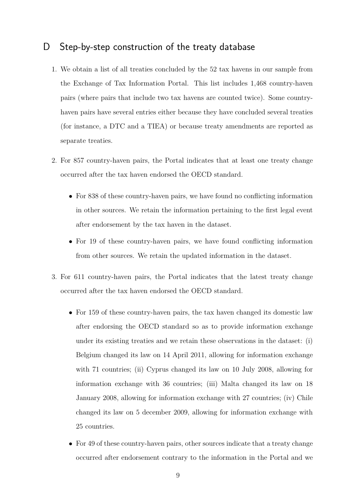## D Step-by-step construction of the treaty database

- 1. We obtain a list of all treaties concluded by the 52 tax havens in our sample from the Exchange of Tax Information Portal. This list includes 1,468 country-haven pairs (where pairs that include two tax havens are counted twice). Some countryhaven pairs have several entries either because they have concluded several treaties (for instance, a DTC and a TIEA) or because treaty amendments are reported as separate treaties.
- 2. For 857 country-haven pairs, the Portal indicates that at least one treaty change occurred after the tax haven endorsed the OECD standard.
	- For 838 of these country-haven pairs, we have found no conflicting information in other sources. We retain the information pertaining to the first legal event after endorsement by the tax haven in the dataset.
	- For 19 of these country-haven pairs, we have found conflicting information from other sources. We retain the updated information in the dataset.
- 3. For 611 country-haven pairs, the Portal indicates that the latest treaty change occurred after the tax haven endorsed the OECD standard.
	- For 159 of these country-haven pairs, the tax haven changed its domestic law after endorsing the OECD standard so as to provide information exchange under its existing treaties and we retain these observations in the dataset: (i) Belgium changed its law on 14 April 2011, allowing for information exchange with 71 countries; (ii) Cyprus changed its law on 10 July 2008, allowing for information exchange with 36 countries; (iii) Malta changed its law on 18 January 2008, allowing for information exchange with 27 countries; (iv) Chile changed its law on 5 december 2009, allowing for information exchange with 25 countries.
	- For 49 of these country-haven pairs, other sources indicate that a treaty change occurred after endorsement contrary to the information in the Portal and we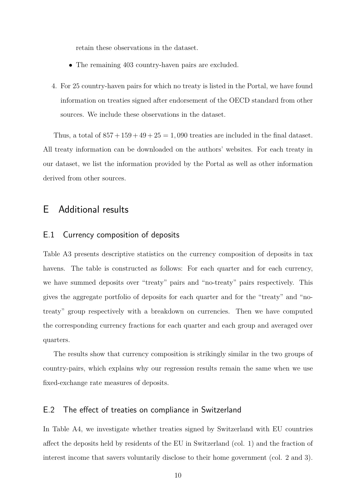retain these observations in the dataset.

- The remaining 403 country-haven pairs are excluded.
- 4. For 25 country-haven pairs for which no treaty is listed in the Portal, we have found information on treaties signed after endorsement of the OECD standard from other sources. We include these observations in the dataset.

Thus, a total of  $857 + 159 + 49 + 25 = 1,090$  treaties are included in the final dataset. All treaty information can be downloaded on the authors' websites. For each treaty in our dataset, we list the information provided by the Portal as well as other information derived from other sources.

### E Additional results

#### E.1 Currency composition of deposits

Table A3 presents descriptive statistics on the currency composition of deposits in tax havens. The table is constructed as follows: For each quarter and for each currency, we have summed deposits over "treaty" pairs and "no-treaty" pairs respectively. This gives the aggregate portfolio of deposits for each quarter and for the "treaty" and "notreaty" group respectively with a breakdown on currencies. Then we have computed the corresponding currency fractions for each quarter and each group and averaged over quarters.

The results show that currency composition is strikingly similar in the two groups of country-pairs, which explains why our regression results remain the same when we use fixed-exchange rate measures of deposits.

#### E.2 The effect of treaties on compliance in Switzerland

In Table A4, we investigate whether treaties signed by Switzerland with EU countries affect the deposits held by residents of the EU in Switzerland (col. 1) and the fraction of interest income that savers voluntarily disclose to their home government (col. 2 and 3).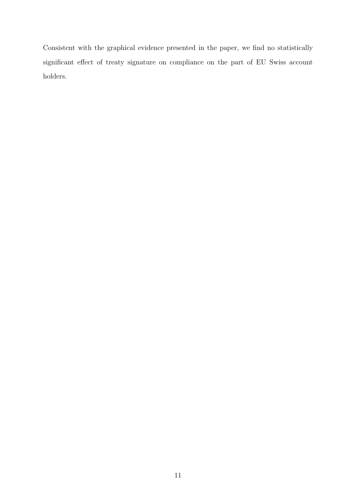Consistent with the graphical evidence presented in the paper, we find no statistically significant effect of treaty signature on compliance on the part of EU Swiss account holders.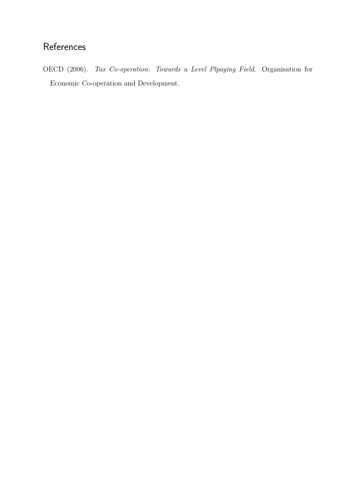## References

<span id="page-11-0"></span>OECD (2006). *Tax Co-operation: Towards a Level Plpaying Field*. Organisation for Economic Co-operation and Development.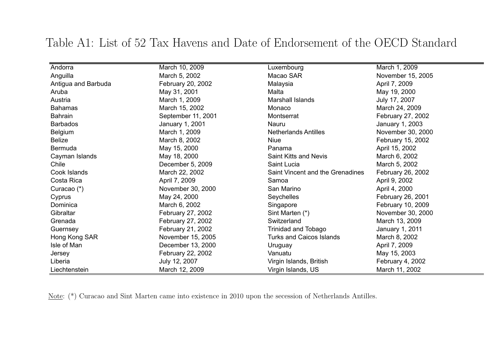| Andorra             | March 10, 2009     | Luxembourg                       | March 1, 2009     |
|---------------------|--------------------|----------------------------------|-------------------|
| Anguilla            | March 5, 2002      | Macao SAR                        | November 15, 2005 |
| Antigua and Barbuda | February 20, 2002  | Malaysia                         | April 7, 2009     |
| Aruba               | May 31, 2001       | Malta                            | May 19, 2000      |
| Austria             | March 1, 2009      | Marshall Islands                 | July 17, 2007     |
| <b>Bahamas</b>      | March 15, 2002     | Monaco                           | March 24, 2009    |
| Bahrain             | September 11, 2001 | Montserrat                       | February 27, 2002 |
| <b>Barbados</b>     | January 1, 2001    | Nauru                            | January 1, 2003   |
| Belgium             | March 1, 2009      | <b>Netherlands Antilles</b>      | November 30, 2000 |
| <b>Belize</b>       | March 8, 2002      | <b>Niue</b>                      | February 15, 2002 |
| Bermuda             | May 15, 2000       | Panama                           | April 15, 2002    |
| Cayman Islands      | May 18, 2000       | Saint Kitts and Nevis            | March 6, 2002     |
| Chile               | December 5, 2009   | Saint Lucia                      | March 5, 2002     |
| Cook Islands        | March 22, 2002     | Saint Vincent and the Grenadines | February 26, 2002 |
| Costa Rica          | April 7, 2009      | Samoa                            | April 9, 2002     |
| Curacao (*)         | November 30, 2000  | San Marino                       | April 4, 2000     |
| Cyprus              | May 24, 2000       | Seychelles                       | February 26, 2001 |
| Dominica            | March 6, 2002      | Singapore                        | February 10, 2009 |
| Gibraltar           | February 27, 2002  | Sint Marten (*)                  | November 30, 2000 |
| Grenada             | February 27, 2002  | Switzerland                      | March 13, 2009    |
| Guernsey            | February 21, 2002  | Trinidad and Tobago              | January 1, 2011   |
| Hong Kong SAR       | November 15, 2005  | <b>Turks and Caicos Islands</b>  | March 8, 2002     |
| Isle of Man         | December 13, 2000  | Uruguay                          | April 7, 2009     |
| Jersey              | February 22, 2002  | Vanuatu                          | May 15, 2003      |
| Liberia             | July 12, 2007      | Virgin Islands, British          | February 4, 2002  |
| Liechtenstein       | March 12, 2009     | Virgin Islands, US               | March 11, 2002    |

## Table A1: List of 52 Tax Havens and Date of Endorsement of the OECD Standard

Note: (\*) Curacao and Sint Marten came into existence in <sup>2010</sup> upon the secession of Netherlands Antilles.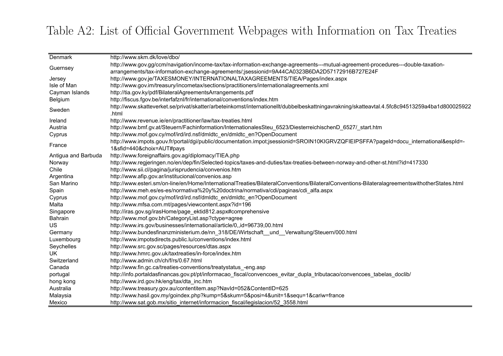# Table A2: List of Official Government Webpages with Information on Tax Treaties

| Denmark             | http://www.skm.dk/love/dbo/                                                                                                                            |
|---------------------|--------------------------------------------------------------------------------------------------------------------------------------------------------|
|                     | http://www.gov.gg/ccm/navigation/income-tax/tax-information-exchange-agreements---mutual-agreement-procedures---double-taxation-                       |
| Guernsey            | arrangements/tax-information-exchange-agreements/;jsessionid=9A44CA0323B6DA2D57172916B727E24F                                                          |
| Jersey              | http://www.gov.je/TAXESMONEY/INTERNATIONALTAXAGREEMENTS/TIEA/Pages/index.aspx                                                                          |
| Isle of Man         | http://www.gov.im/treasury/incometax/sections/practitioners/internationalagreements.xml                                                                |
| Cayman Islands      | http://tia.gov.ky/pdf/BilateralAgreementsArrangements.pdf                                                                                              |
| Belgium             | http://fiscus.fgov.be/interfafznl/fr/international/conventions/index.htm                                                                               |
| Sweden              | http://www.skatteverket.se/privat/skatter/arbeteinkomst/internationellt/dubbelbeskattningavrakning/skatteavtal.4.5fc8c94513259a4ba1d800025922<br>.html |
| Ireland             | http://www.revenue.ie/en/practitioner/law/tax-treaties.html                                                                                            |
| Austria             | http://www.bmf.gv.at/Steuern/Fachinformation/InternationalesSteu_6523/DiesterreichischenD_6527/_start.htm                                              |
| Cyprus              | http://www.mof.gov.cy/mof/ird/ird.nsf/dmldtc_en/dmldtc_en?OpenDocument                                                                                 |
| France              | http://www.impots.gouv.fr/portal/dgi/public/documentation.impot;jsessionid=SROIN10KIGRVZQFIEIPSFFA?pageId=docu_international&espId=-                   |
|                     | 1&sfid=440&choix=AUT#pays                                                                                                                              |
| Antigua and Barbuda | http://www.foreignaffairs.gov.ag/diplomacy/TIEA.php                                                                                                    |
| Norway              | http://www.regjeringen.no/en/dep/fin/Selected-topics/taxes-and-duties/tax-treaties-between-norway-and-other-st.html?id=417330                          |
| Chile               | http://www.sii.cl/pagina/jurisprudencia/convenios.htm                                                                                                  |
| Argentina           | http://www.afip.gov.ar/institucional/convenios.asp                                                                                                     |
| San Marino          | http://www.esteri.sm/on-line/en/Home/InternationalTreaties/BilateralConventions/BilateralConventions-BilateralagreementswithotherStates.html           |
| Spain               | http://www.meh.es/es-es/normativa%20y%20doctrina/normativa/cdi/paginas/cdi_alfa.aspx                                                                   |
| Cyprus              | http://www.mof.gov.cy/mof/ird/ird.nsf/dmldtc_en/dmldtc_en?OpenDocument                                                                                 |
| Malta               | http://www.mfsa.com.mt/pages/viewcontent.aspx?id=196                                                                                                   |
| Singapore           | http://iras.gov.sg/irasHome/page_ektid812.aspx#comprehensive                                                                                           |
| Bahrain             | http://www.mof.gov.bh/CategoryList.asp?ctype=agree                                                                                                     |
| US                  | http://www.irs.gov/businesses/international/article/0,,id=96739,00.html                                                                                |
| Germany             | http://www.bundesfinanzministerium.de/nn_318/DE/Wirtschaft_und_Verwaltung/Steuern/000.html                                                             |
| Luxembourg          | http://www.impotsdirects.public.lu/conventions/index.html                                                                                              |
| Seychelles          | http://www.src.gov.sc/pages/resources/dtas.aspx                                                                                                        |
| UK                  | http://www.hmrc.gov.uk/taxtreaties/in-force/index.htm                                                                                                  |
| Switzerland         | http://www.admin.ch/ch/f/rs/0.67.html                                                                                                                  |
| Canada              | http://www.fin.gc.ca/treaties-conventions/treatystatus_-eng.asp                                                                                        |
| portugal            | http://info.portaldasfinancas.gov.pt/pt/informacao_fiscal/convencoes_evitar_dupla_tributacao/convencoes_tabelas_doclib/                                |
| hong kong           | http://www.ird.gov.hk/eng/tax/dta_inc.htm                                                                                                              |
| Australia           | http://www.treasury.gov.au/contentitem.asp?NavId=052&ContentID=625                                                                                     |
| Malaysia            | http://www.hasil.gov.my/goindex.php?kump=5&skum=5&posi=4&unit=1&sequ=1&cariw=france                                                                    |
| Mexico              | http://www.sat.gob.mx/sitio_internet/informacion_fiscal/legislacion/52 3558.html                                                                       |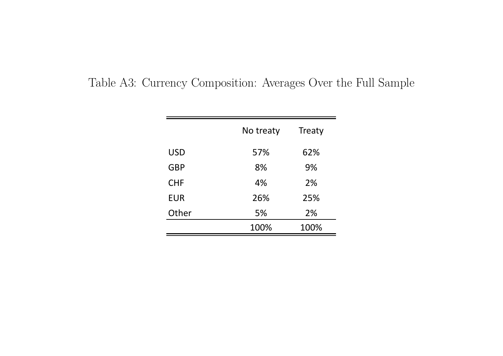|            | No treaty | Treaty |
|------------|-----------|--------|
| <b>USD</b> | 57%       | 62%    |
| <b>GBP</b> | 8%        | 9%     |
| <b>CHF</b> | 4%        | 2%     |
| <b>EUR</b> | 26%       | 25%    |
| Other      | 5%        | 2%     |
|            | 100%      | 100%   |

Table A3: Currency Composition: Averages Over the Full Sample